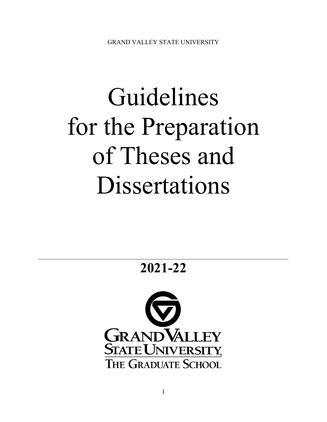# Guidelines for the Preparation of Theses and Dissertations

**2021-22**

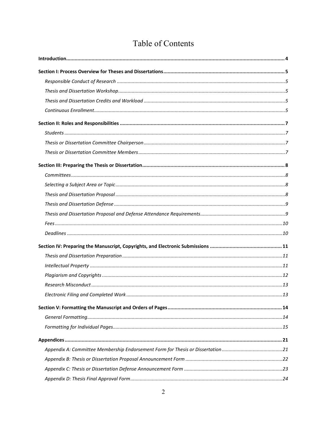| Table of Contents |
|-------------------|
|                   |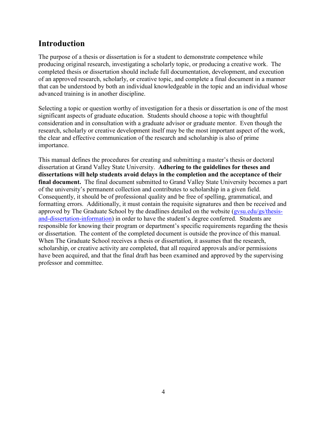# <span id="page-3-0"></span>**Introduction**

The purpose of a thesis or dissertation is for a student to demonstrate competence while producing original research, investigating a scholarly topic, or producing a creative work. The completed thesis or dissertation should include full documentation, development, and execution of an approved research, scholarly, or creative topic, and complete a final document in a manner that can be understood by both an individual knowledgeable in the topic and an individual whose advanced training is in another discipline.

Selecting a topic or question worthy of investigation for a thesis or dissertation is one of the most significant aspects of graduate education. Students should choose a topic with thoughtful consideration and in consultation with a graduate advisor or graduate mentor. Even though the research, scholarly or creative development itself may be the most important aspect of the work, the clear and effective communication of the research and scholarship is also of prime importance.

This manual defines the procedures for creating and submitting a master's thesis or doctoral dissertation at Grand Valley State University. **Adhering to the guidelines for theses and dissertations will help students avoid delays in the completion and the acceptance of their final document.** The final document submitted to Grand Valley State University becomes a part of the university's permanent collection and contributes to scholarship in a given field. Consequently, it should be of professional quality and be free of spelling, grammatical, and formatting errors. Additionally, it must contain the requisite signatures and then be received and approved by The Graduate School by the deadlines detailed on the website [\(gvsu.edu/gs/thesis](https://www.gvsu.edu/gs/thesis-and-dissertation-information-35.htm)[and-dissertation-information\)](https://www.gvsu.edu/gs/thesis-and-dissertation-information-35.htm) in order to have the student's degree conferred. Students are responsible for knowing their program or department's specific requirements regarding the thesis or dissertation. The content of the completed document is outside the province of this manual*.*  When The Graduate School receives a thesis or dissertation, it assumes that the research, scholarship, or creative activity are completed, that all required approvals and/or permissions have been acquired, and that the final draft has been examined and approved by the supervising professor and committee.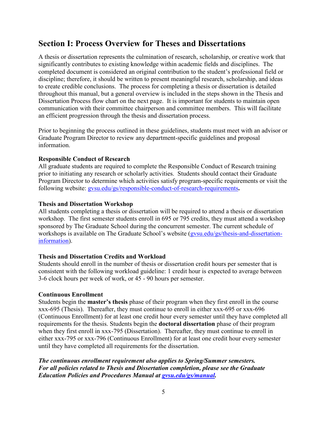# <span id="page-4-0"></span>**Section I: Process Overview for Theses and Dissertations**

A thesis or dissertation represents the culmination of research, scholarship, or creative work that significantly contributes to existing knowledge within academic fields and disciplines. The completed document is considered an original contribution to the student's professional field or discipline; therefore, it should be written to present meaningful research, scholarship, and ideas to create credible conclusions. The process for completing a thesis or dissertation is detailed throughout this manual, but a general overview is included in the steps shown in the Thesis and Dissertation Process flow chart on the next page. It is important for students to maintain open communication with their committee chairperson and committee members. This will facilitate an efficient progression through the thesis and dissertation process.

Prior to beginning the process outlined in these guidelines, students must meet with an advisor or Graduate Program Director to review any department-specific guidelines and proposal information.

#### <span id="page-4-1"></span>**Responsible Conduct of Research**

All graduate students are required to complete the Responsible Conduct of Research training prior to initiating any research or scholarly activities. Students should contact their Graduate Program Director to determine which activities satisfy program-specific requirements or visit the following website: [gvsu.edu/gs/responsible-conduct-of-research-requirements](https://www.gvsu.edu/gs/responsible-conduct-of-research-requirements-88.htm)**.**

## <span id="page-4-2"></span>**Thesis and Dissertation Workshop**

All students completing a thesis or dissertation will be required to attend a thesis or dissertation workshop. The first semester students enroll in 695 or 795 credits, they must attend a workshop sponsored by The Graduate School during the concurrent semester. The current schedule of workshops is available on The Graduate School's website (gysu.edu/gs/thesis-and-dissertation[information\)](https://www.gvsu.edu/gs/thesis-and-dissertation-information-35.htm).

# <span id="page-4-3"></span>**Thesis and Dissertation Credits and Workload**

Students should enroll in the number of thesis or dissertation credit hours per semester that is consistent with the following workload guideline: 1 credit hour is expected to average between 3-6 clock hours per week of work, or 45 - 90 hours per semester.

# <span id="page-4-4"></span>**Continuous Enrollment**

Students begin the **master's thesis** phase of their program when they first enroll in the course xxx-695 (Thesis). Thereafter, they must continue to enroll in either xxx-695 or xxx-696 (Continuous Enrollment) for at least one credit hour every semester until they have completed all requirements for the thesis. Students begin the **doctoral dissertation** phase of their program when they first enroll in xxx-795 (Dissertation). Thereafter, they must continue to enroll in either xxx-795 or xxx-796 (Continuous Enrollment) for at least one credit hour every semester until they have completed all requirements for the dissertation.

*The continuous enrollment requirement also applies to Spring/Summer semesters. For all policies related to Thesis and Dissertation completion, please see the Graduate Education Policies and Procedures Manual at [gvsu.edu/gs/manual.](http://www.gvsu.edu/gs/manual)*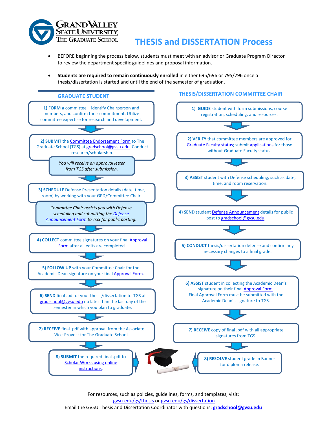

# **THESIS and DISSERTATION Process**

- BEFORE beginning the process below, students must meet with an advisor or Graduate Program Director to review the department specific guidelines and proposal information.
- **Students are required to remain continuously enrolled** in either 695/696 or 795/796 once a thesis/dissertation is started and until the end of the semester of graduation.



For resources, such as policies, guidelines, forms, and templates, visit: [gvsu.edu/gs/thesis](http://www.gvsu.edu/gs/thesis) o[r gvsu.edu/gs/dissertation](http://www.gvsu.edu/gs/dissertation) Email the GVSU Thesis and Dissertation Coordinator with questions: **[gradschool@gvsu.edu](mailto:gradschool@gvsu.edu)**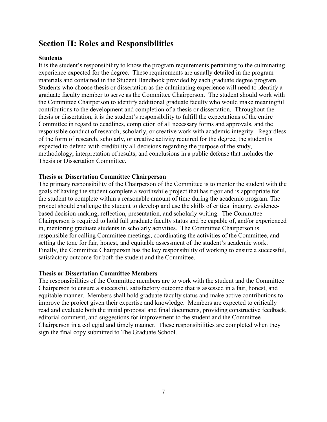# <span id="page-6-0"></span>**Section II: Roles and Responsibilities**

## <span id="page-6-1"></span>**Students**

It is the student's responsibility to know the program requirements pertaining to the culminating experience expected for the degree. These requirements are usually detailed in the program materials and contained in the Student Handbook provided by each graduate degree program. Students who choose thesis or dissertation as the culminating experience will need to identify a graduate faculty member to serve as the Committee Chairperson. The student should work with the Committee Chairperson to identify additional graduate faculty who would make meaningful contributions to the development and completion of a thesis or dissertation. Throughout the thesis or dissertation, it is the student's responsibility to fulfill the expectations of the entire Committee in regard to deadlines, completion of all necessary forms and approvals, and the responsible conduct of research, scholarly, or creative work with academic integrity. Regardless of the form of research, scholarly, or creative activity required for the degree, the student is expected to defend with credibility all decisions regarding the purpose of the study, methodology, interpretation of results, and conclusions in a public defense that includes the Thesis or Dissertation Committee.

#### <span id="page-6-2"></span>**Thesis or Dissertation Committee Chairperson**

The primary responsibility of the Chairperson of the Committee is to mentor the student with the goals of having the student complete a worthwhile project that has rigor and is appropriate for the student to complete within a reasonable amount of time during the academic program. The project should challenge the student to develop and use the skills of critical inquiry, evidencebased decision-making, reflection, presentation, and scholarly writing. The Committee Chairperson is required to hold full graduate faculty status and be capable of, and/or experienced in, mentoring graduate students in scholarly activities. The Committee Chairperson is responsible for calling Committee meetings, coordinating the activities of the Committee, and setting the tone for fair, honest, and equitable assessment of the student's academic work. Finally, the Committee Chairperson has the key responsibility of working to ensure a successful, satisfactory outcome for both the student and the Committee.

#### <span id="page-6-3"></span>**Thesis or Dissertation Committee Members**

The responsibilities of the Committee members are to work with the student and the Committee Chairperson to ensure a successful, satisfactory outcome that is assessed in a fair, honest, and equitable manner. Members shall hold graduate faculty status and make active contributions to improve the project given their expertise and knowledge. Members are expected to critically read and evaluate both the initial proposal and final documents, providing constructive feedback, editorial comment, and suggestions for improvement to the student and the Committee Chairperson in a collegial and timely manner. These responsibilities are completed when they sign the final copy submitted to The Graduate School.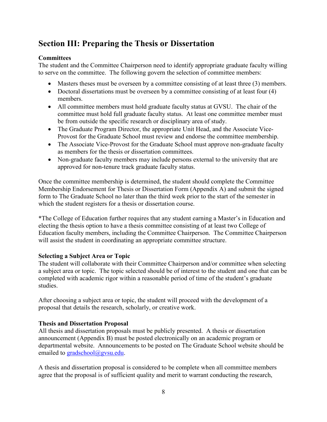# <span id="page-7-0"></span>**Section III: Preparing the Thesis or Dissertation**

# <span id="page-7-1"></span>**Committees**

The student and the Committee Chairperson need to identify appropriate graduate faculty willing to serve on the committee. The following govern the selection of committee members:

- Masters theses must be overseen by a committee consisting of at least three (3) members.
- Doctoral dissertations must be overseen by a committee consisting of at least four (4) members.
- All committee members must hold graduate faculty status at GVSU. The chair of the committee must hold full graduate faculty status. At least one committee member must be from outside the specific research or disciplinary area of study.
- The Graduate Program Director, the appropriate Unit Head, and the Associate Vice-Provost for the Graduate School must review and endorse the committee membership.
- The Associate Vice-Provost for the Graduate School must approve non-graduate faculty as members for the thesis or dissertation committees.
- Non-graduate faculty members may include persons external to the university that are approved for non-tenure track graduate faculty status.

Once the committee membership is determined, the student should complete the Committee Membership Endorsement for Thesis or Dissertation Form (Appendix A) and submit the signed form to The Graduate School no later than the third week prior to the start of the semester in which the student registers for a thesis or dissertation course.

\*The College of Education further requires that any student earning a Master's in Education and electing the thesis option to have a thesis committee consisting of at least two College of Education faculty members, including the Committee Chairperson. The Committee Chairperson will assist the student in coordinating an appropriate committee structure.

# <span id="page-7-2"></span>**Selecting a Subject Area or Topic**

The student will collaborate with their Committee Chairperson and/or committee when selecting a subject area or topic. The topic selected should be of interest to the student and one that can be completed with academic rigor within a reasonable period of time of the student's graduate studies.

After choosing a subject area or topic, the student will proceed with the development of a proposal that details the research, scholarly, or creative work.

# <span id="page-7-3"></span>**Thesis and Dissertation Proposal**

All thesis and dissertation proposals must be publicly presented. A thesis or dissertation announcement (Appendix B) must be posted electronically on an academic program or departmental website. Announcements to be posted on The Graduate School website should be emailed to [gradschool@gvsu.edu.](mailto:gradschool@gvsu.edu)

A thesis and dissertation proposal is considered to be complete when all committee members agree that the proposal is of sufficient quality and merit to warrant conducting the research,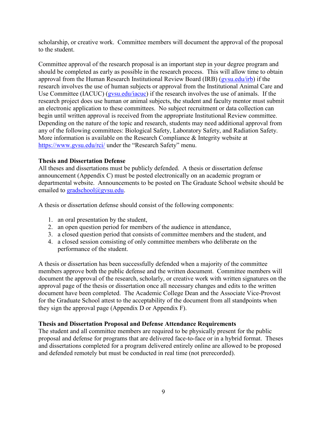scholarship, or creative work. Committee members will document the approval of the proposal to the student.

Committee approval of the research proposal is an important step in your degree program and should be completed as early as possible in the research process. This will allow time to obtain approval from the Human Research Institutional Review Board (IRB) (gysu.edu/irb) if the research involves the use of human subjects or approval from the Institutional Animal Care and Use Committee (IACUC) [\(gvsu.edu/iacuc\)](http://www.gvsu.edu/iacuc/) if the research involves the use of animals. If the research project does use human or animal subjects, the student and faculty mentor must submit an electronic application to these committees. No subject recruitment or data collection can begin until written approval is received from the appropriate Institutional Review committee. Depending on the nature of the topic and research, students may need additional approval from any of the following committees: Biological Safety, Laboratory Safety, and Radiation Safety. More information is available on the Research Compliance & Integrity website at <https://www.gvsu.edu/rci/> under the "Research Safety" menu.

## <span id="page-8-0"></span>**Thesis and Dissertation Defense**

All theses and dissertations must be publicly defended. A thesis or dissertation defense announcement (Appendix C) must be posted electronically on an academic program or departmental website. Announcements to be posted on The Graduate School website should be emailed to [gradschool@gvsu.edu.](mailto:gradschool@gvsu.edu)

A thesis or dissertation defense should consist of the following components:

- 1. an oral presentation by the student,
- 2. an open question period for members of the audience in attendance,
- 3. a closed question period that consists of committee members and the student, and
- 4. a closed session consisting of only committee members who deliberate on the performance of the student.

A thesis or dissertation has been successfully defended when a majority of the committee members approve both the public defense and the written document. Committee members will document the approval of the research, scholarly, or creative work with written signatures on the approval page of the thesis or dissertation once all necessary changes and edits to the written document have been completed. The Academic College Dean and the Associate Vice-Provost for the Graduate School attest to the acceptability of the document from all standpoints when they sign the approval page (Appendix D or Appendix F).

# <span id="page-8-1"></span>**Thesis and Dissertation Proposal and Defense Attendance Requirements**

The student and all committee members are required to be physically present for the public proposal and defense for programs that are delivered face-to-face or in a hybrid format. Theses and dissertations completed for a program delivered entirely online are allowed to be proposed and defended remotely but must be conducted in real time (not prerecorded).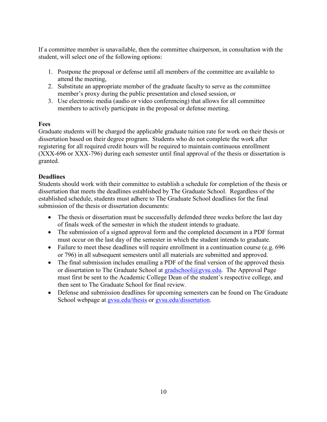If a committee member is unavailable, then the committee chairperson, in consultation with the student, will select one of the following options:

- 1. Postpone the proposal or defense until all members of the committee are available to attend the meeting,
- 2. Substitute an appropriate member of the graduate faculty to serve as the committee member's proxy during the public presentation and closed session, or
- 3. Use electronic media (audio or video conferencing) that allows for all committee members to actively participate in the proposal or defense meeting.

# <span id="page-9-0"></span>**Fees**

Graduate students will be charged the applicable graduate tuition rate for work on their thesis or dissertation based on their degree program. Students who do not complete the work after registering for all required credit hours will be required to maintain continuous enrollment (XXX-696 or XXX-796) during each semester until final approval of the thesis or dissertation is granted.

# <span id="page-9-1"></span>**Deadlines**

Students should work with their committee to establish a schedule for completion of the thesis or dissertation that meets the deadlines established by The Graduate School. Regardless of the established schedule, students must adhere to The Graduate School deadlines for the final submission of the thesis or dissertation documents:

- The thesis or dissertation must be successfully defended three weeks before the last day of finals week of the semester in which the student intends to graduate.
- The submission of a signed approval form and the completed document in a PDF format must occur on the last day of the semester in which the student intends to graduate.
- Failure to meet these deadlines will require enrollment in a continuation course (e.g. 696) or 796) in all subsequent semesters until all materials are submitted and approved.
- The final submission includes emailing a PDF of the final version of the approved thesis or dissertation to The Graduate School at  $grad\infty$   $\Omega$ gvsu.edu. The Approval Page must first be sent to the Academic College Dean of the student's respective college, and then sent to The Graduate School for final review.
- Defense and submission deadlines for upcoming semesters can be found on The Graduate School webpage at gysu.edu/thesis or gysu.edu/dissertation.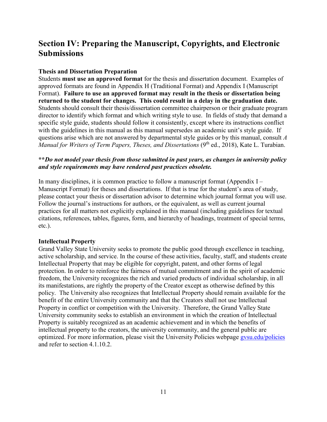# <span id="page-10-0"></span>**Section IV: Preparing the Manuscript, Copyrights, and Electronic Submissions**

# <span id="page-10-1"></span>**Thesis and Dissertation Preparation**

Students **must use an approved format** for the thesis and dissertation document. Examples of approved formats are found in Appendix H (Traditional Format) and Appendix I (Manuscript Format). **Failure to use an approved format may result in the thesis or dissertation being returned to the student for changes. This could result in a delay in the graduation date.**  Students should consult their thesis/dissertation committee chairperson or their graduate program director to identify which format and which writing style to use. In fields of study that demand a specific style guide, students should follow it consistently, except where its instructions conflict with the guidelines in this manual as this manual supersedes an academic unit's style guide. If questions arise which are not answered by departmental style guides or by this manual, consult *A Manual for Writers of Term Papers, Theses, and Dissertations* (9<sup>th</sup> ed., 2018), Kate L. Turabian.

# **\*\****Do not model your thesis from those submitted in past years, as changes in university policy and style requirements may have rendered past practices obsolete.*

In many disciplines, it is common practice to follow a manuscript format (Appendix  $I -$ Manuscript Format) for theses and dissertations. If that is true for the student's area of study, please contact your thesis or dissertation advisor to determine which journal format you will use. Follow the journal's instructions for authors, or the equivalent, as well as current journal practices for all matters not explicitly explained in this manual (including guidelines for textual citations, references, tables, figures, form, and hierarchy of headings, treatment of special terms, etc.).

#### <span id="page-10-2"></span>**Intellectual Property**

Grand Valley State University seeks to promote the public good through excellence in teaching, active scholarship, and service. In the course of these activities, faculty, staff, and students create Intellectual Property that may be eligible for copyright, patent, and other forms of legal protection. In order to reinforce the fairness of mutual commitment and in the spirit of academic freedom, the University recognizes the rich and varied products of individual scholarship, in all its manifestations, are rightly the property of the Creator except as otherwise defined by this policy. The University also recognizes that Intellectual Property should remain available for the benefit of the entire University community and that the Creators shall not use Intellectual Property in conflict or competition with the University. Therefore, the Grand Valley State University community seeks to establish an environment in which the creation of Intellectual Property is suitably recognized as an academic achievement and in which the benefits of intellectual property to the creators, the university community, and the general public are optimized. For more information, please visit the University Policies webpage [gvsu.edu/policies](http://www.gvsu.edu/policies) and refer to section 4.1.10.2.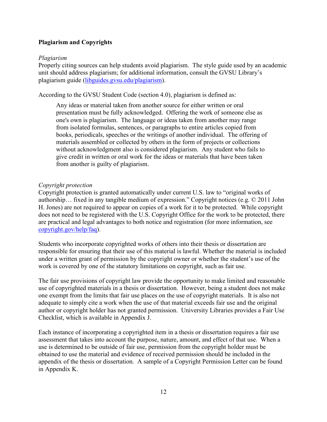# <span id="page-11-0"></span>**Plagiarism and Copyrights**

## *Plagiarism*

Properly citing sources can help students avoid plagiarism. The style guide used by an academic unit should address plagiarism; for additional information, consult the GVSU Library's plagiarism guide [\(libguides.gvsu.edu/plagiarism\)](https://libguides.gvsu.edu/plagiarism).

According to the GVSU Student Code (section 4.0), plagiarism is defined as:

Any ideas or material taken from another source for either written or oral presentation must be fully acknowledged. Offering the work of someone else as one's own is plagiarism. The language or ideas taken from another may range from isolated formulas, sentences, or paragraphs to entire articles copied from books, periodicals, speeches or the writings of another individual. The offering of materials assembled or collected by others in the form of projects or collections without acknowledgment also is considered plagiarism. Any student who fails to give credit in written or oral work for the ideas or materials that have been taken from another is guilty of plagiarism.

## *Copyright protection*

Copyright protection is granted automatically under current U.S. law to "original works of authorship… fixed in any tangible medium of expression." Copyright notices (e.g. © 2011 John H. Jones) are not required to appear on copies of a work for it to be protected. While copyright does not need to be registered with the U.S. Copyright Office for the work to be protected, there are practical and legal advantages to both notice and registration (for more information, see [copyright.gov/help/faq\)](http://www.copyright.gov/help/faq).

Students who incorporate copyrighted works of others into their thesis or dissertation are responsible for ensuring that their use of this material is lawful. Whether the material is included under a written grant of permission by the copyright owner or whether the student's use of the work is covered by one of the statutory limitations on copyright, such as fair use.

The fair use provisions of copyright law provide the opportunity to make limited and reasonable use of copyrighted materials in a thesis or dissertation. However, being a student does not make one exempt from the limits that fair use places on the use of copyright materials. It is also not adequate to simply cite a work when the use of that material exceeds fair use and the original author or copyright holder has not granted permission. University Libraries provides a Fair Use Checklist, which is available in Appendix J.

Each instance of incorporating a copyrighted item in a thesis or dissertation requires a fair use assessment that takes into account the purpose, nature, amount, and effect of that use. When a use is determined to be outside of fair use, permission from the copyright holder must be obtained to use the material and evidence of received permission should be included in the appendix of the thesis or dissertation. A sample of a Copyright Permission Letter can be found in Appendix K.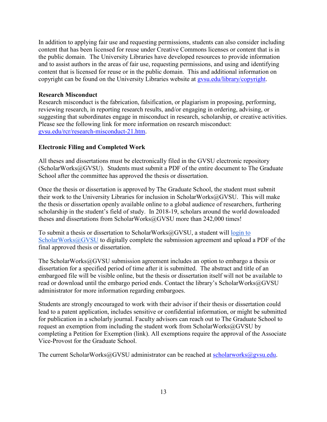In addition to applying fair use and requesting permissions, students can also consider including content that has been licensed for reuse under Creative Commons licenses or content that is in the public domain. The University Libraries have developed resources to provide information and to assist authors in the areas of fair use, requesting permissions, and using and identifying content that is licensed for reuse or in the public domain. This and additional information on copyright can be found on the University Libraries website at gysu.edu/library/copyright.

## <span id="page-12-0"></span>**Research Misconduct**

Research misconduct is the fabrication, falsification, or plagiarism in proposing, performing, reviewing research, in reporting research results, and/or engaging in ordering, advising, or suggesting that subordinates engage in misconduct in research, scholarship, or creative activities. Please see the following link for more information on research misconduct: [gvsu.edu/rcr/research-misconduct-21.htm.](http://www.gvsu.edu/rcr/research-misconduct-21.htm)

## <span id="page-12-1"></span>**Electronic Filing and Completed Work**

All theses and dissertations must be electronically filed in the GVSU electronic repository (ScholarWorks@GVSU). Students must submit a PDF of the entire document to The Graduate School after the committee has approved the thesis or dissertation.

Once the thesis or dissertation is approved by The Graduate School, the student must submit their work to the University Libraries for inclusion in ScholarWorks@GVSU. This will make the thesis or dissertation openly available online to a global audience of researchers, furthering scholarship in the student's field of study. In 2018-19, scholars around the world downloaded theses and dissertations from ScholarWorks@GVSU more than 242,000 times!

To submit a thesis or dissertation to ScholarWorks@GVSU, a student will [login to](https://scholarworks.gvsu.edu/submit_research.html)  [ScholarWorks@GVSU](https://scholarworks.gvsu.edu/submit_research.html) to digitally complete the submission agreement and upload a PDF of the final approved thesis or dissertation.

The ScholarWorks@GVSU submission agreement includes an option to embargo a thesis or dissertation for a specified period of time after it is submitted. The abstract and title of an embargoed file will be visible online, but the thesis or dissertation itself will not be available to read or download until the embargo period ends. Contact the library's ScholarWorks@GVSU administrator for more information regarding embargoes.

Students are strongly encouraged to work with their advisor if their thesis or dissertation could lead to a patent application, includes sensitive or confidential information, or might be submitted for publication in a scholarly journal. Faculty advisors can reach out to The Graduate School to request an exemption from including the student work from ScholarWorks@GVSU by completing a Petition for Exemption (link). All exemptions require the approval of the Associate Vice-Provost for the Graduate School.

The current ScholarWorks@GVSU administrator can be reached at [scholarworks@gvsu.edu.](mailto:scholarworks@gvsu.edu)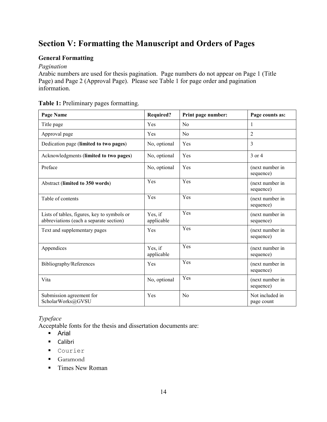# <span id="page-13-0"></span>**Section V: Formatting the Manuscript and Orders of Pages**

# <span id="page-13-1"></span>**General Formatting**

# *Pagination*

Arabic numbers are used for thesis pagination. Page numbers do not appear on Page 1 (Title Page) and Page 2 (Approval Page). Please see Table 1 for page order and pagination information.

| Page Name                                                                              | <b>Required?</b>      | Print page number: | Page counts as:               |
|----------------------------------------------------------------------------------------|-----------------------|--------------------|-------------------------------|
| Title page                                                                             | Yes                   | N <sub>0</sub>     | 1                             |
| Approval page                                                                          | Yes                   | No                 | $\overline{2}$                |
| Dedication page (limited to two pages)                                                 | No, optional          | Yes                | 3                             |
| Acknowledgments (limited to two pages)                                                 | No, optional          | Yes                | 3 or 4                        |
| Preface                                                                                | No, optional          | Yes                | (next number in<br>sequence)  |
| Abstract (limited to 350 words)                                                        | Yes                   | Yes                | (next number in<br>sequence)  |
| Table of contents                                                                      | Yes                   | Yes                | (next number in<br>sequence)  |
| Lists of tables, figures, key to symbols or<br>abbreviations (each a separate section) | Yes, if<br>applicable | Yes                | (next number in<br>sequence)  |
| Text and supplementary pages                                                           | Yes                   | Yes                | (next number in<br>sequence)  |
| Appendices                                                                             | Yes, if<br>applicable | Yes                | (next number in<br>sequence)  |
| Bibliography/References                                                                | Yes                   | Yes                | (next number in<br>sequence)  |
| Vita                                                                                   | No, optional          | Yes                | (next number in<br>sequence)  |
| Submission agreement for<br>ScholarWorks@GVSU                                          | Yes                   | N <sub>0</sub>     | Not included in<br>page count |

# **Table 1:** Preliminary pages formatting.

# *Typeface*

Acceptable fonts for the thesis and dissertation documents are:

- **Arial**
- Calibri
- Courier
- Garamond
- Times New Roman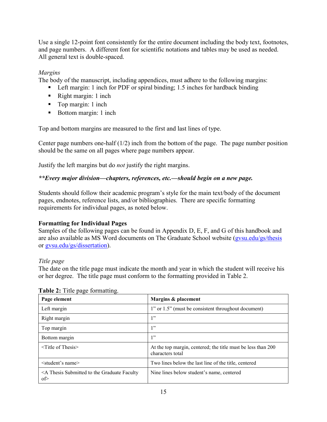Use a single 12-point font consistently for the entire document including the body text, footnotes, and page numbers. A different font for scientific notations and tables may be used as needed. All general text is double-spaced.

# *Margins*

The body of the manuscript, including appendices, must adhere to the following margins:

- Left margin: 1 inch for PDF or spiral binding; 1.5 inches for hardback binding
- Right margin: 1 inch
- Top margin: 1 inch
- Bottom margin: 1 inch

Top and bottom margins are measured to the first and last lines of type.

Center page numbers one-half  $(1/2)$  inch from the bottom of the page. The page number position should be the same on all pages where page numbers appear.

Justify the left margins but do *not* justify the right margins.

# *\*\*Every major division—chapters, references, etc.—should begin on a new page.*

Students should follow their academic program's style for the main text/body of the document pages, endnotes, reference lists, and/or bibliographies. There are specific formatting requirements for individual pages, as noted below.

# <span id="page-14-0"></span>**Formatting for Individual Pages**

Samples of the following pages can be found in Appendix D, E, F, and G of this handbook and are also available as MS Word documents on The Graduate School website [\(gvsu.edu/gs/thesis](http://www.gvsu.edu/gs/thesis) or [gvsu.edu/gs/dissertation\)](http://www.gvsu.edu/gs/dissertation).

# *Title page*

The date on the title page must indicate the month and year in which the student will receive his or her degree. The title page must conform to the formatting provided in Table 2.

| Page element                                             | Margins & placement                                                              |
|----------------------------------------------------------|----------------------------------------------------------------------------------|
| Left margin                                              | 1" or 1.5" (must be consistent throughout document)                              |
| Right margin                                             | 1"                                                                               |
| Top margin                                               | 1"                                                                               |
| Bottom margin                                            | 1"                                                                               |
| $\le$ Title of Thesis $\ge$                              | At the top margin, centered; the title must be less than 200<br>characters total |
| <student's name=""></student's>                          | Two lines below the last line of the title, centered                             |
| $\leq$ A Thesis Submitted to the Graduate Faculty<br>of> | Nine lines below student's name, centered                                        |

#### **Table 2:** Title page formatting.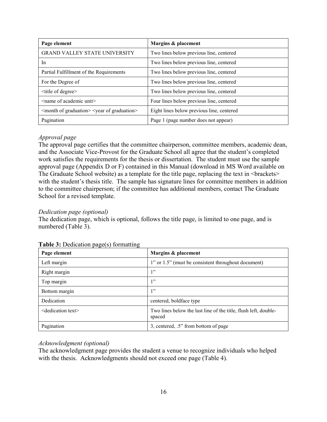| Page element                                                          | Margins & placement                       |
|-----------------------------------------------------------------------|-------------------------------------------|
| <b>GRAND VALLEY STATE UNIVERSITY</b>                                  | Two lines below previous line, centered   |
| In                                                                    | Two lines below previous line, centered   |
| Partial Fulfillment of the Requirements                               | Two lines below previous line, centered   |
| For the Degree of                                                     | Two lines below previous line, centered   |
| $\leq$ title of degree $\geq$                                         | Two lines below previous line, centered   |
| $\leq$ name of academic unit $\geq$                                   | Four lines below previous line, centered  |
| <month graduation="" of=""> <year graduation="" of=""></year></month> | Eight lines below previous line, centered |
| Pagination                                                            | Page 1 (page number does not appear)      |

## *Approval page*

The approval page certifies that the committee chairperson, committee members, academic dean, and the Associate Vice-Provost for the Graduate School all agree that the student's completed work satisfies the requirements for the thesis or dissertation. The student must use the sample approval page (Appendix D or F) contained in this Manual (download in MS Word available on The Graduate School website) as a template for the title page, replacing the text in <br/>brackets> with the student's thesis title. The sample has signature lines for committee members in addition to the committee chairperson; if the committee has additional members, contact The Graduate School for a revised template.

#### *Dedication page (optional)*

The dedication page, which is optional, follows the title page, is limited to one page, and is numbered (Table 3).

| Page element                      | Margins & placement                                                       |
|-----------------------------------|---------------------------------------------------------------------------|
| Left margin                       | 1" or 1.5" (must be consistent throughout document)                       |
| Right margin                      | 1"                                                                        |
| Top margin                        | 1"                                                                        |
| Bottom margin                     | 1"                                                                        |
| Dedication                        | centered, boldface type                                                   |
| <dedication text=""></dedication> | Two lines below the last line of the title, flush left, double-<br>spaced |
| Pagination                        | 3, centered, .5" from bottom of page                                      |

#### **Table 3:** Dedication page(s) formatting

#### *Acknowledgment (optional)*

The acknowledgment page provides the student a venue to recognize individuals who helped with the thesis. Acknowledgments should not exceed one page (Table 4).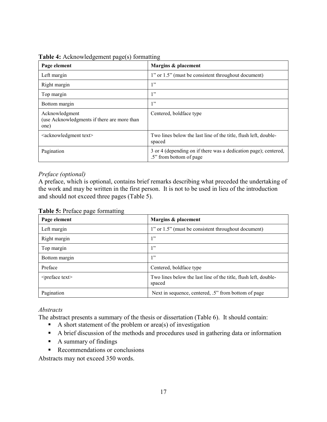| Page element                                                          | Margins & placement                                                                        |
|-----------------------------------------------------------------------|--------------------------------------------------------------------------------------------|
| Left margin                                                           | 1" or 1.5" (must be consistent throughout document)                                        |
| Right margin                                                          | 1"                                                                                         |
| Top margin                                                            | 1"                                                                                         |
| Bottom margin                                                         | 1, 22                                                                                      |
| Acknowledgment<br>(use Acknowledgments if there are more than<br>one) | Centered, boldface type                                                                    |
| <acknowledgment text=""></acknowledgment>                             | Two lines below the last line of the title, flush left, double-<br>spaced                  |
| Pagination                                                            | 3 or 4 (depending on if there was a dedication page); centered,<br>.5" from bottom of page |

#### **Table 4:** Acknowledgement page(s) formatting

#### *Preface (optional)*

A preface, which is optional, contains brief remarks describing what preceded the undertaking of the work and may be written in the first person. It is not to be used in lieu of the introduction and should not exceed three pages (Table 5).

|  | Table 5: Preface page formatting |
|--|----------------------------------|
|--|----------------------------------|

| Page element                | Margins & placement                                                       |
|-----------------------------|---------------------------------------------------------------------------|
| Left margin                 | 1" or 1.5" (must be consistent throughout document)                       |
| Right margin                | 1"                                                                        |
| Top margin                  | 1"                                                                        |
| Bottom margin               | 1"                                                                        |
| Preface                     | Centered, boldface type                                                   |
| <preface text=""></preface> | Two lines below the last line of the title, flush left, double-<br>spaced |
| Pagination                  | Next in sequence, centered, .5" from bottom of page                       |

#### *Abstracts*

The abstract presents a summary of the thesis or dissertation (Table 6). It should contain:

- A short statement of the problem or  $area(s)$  of investigation
- A brief discussion of the methods and procedures used in gathering data or information
- A summary of findings
- Recommendations or conclusions

Abstracts may not exceed 350 words.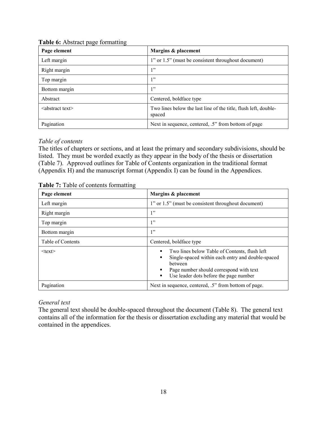| Page element                | Margins & placement                                                       |
|-----------------------------|---------------------------------------------------------------------------|
| Left margin                 | 1" or 1.5" (must be consistent throughout document)                       |
| Right margin                | 1"                                                                        |
| Top margin                  | 1"                                                                        |
| Bottom margin               | 1"                                                                        |
| Abstract                    | Centered, boldface type                                                   |
| $\leq$ abstract text $\geq$ | Two lines below the last line of the title, flush left, double-<br>spaced |
| Pagination                  | Next in sequence, centered, .5" from bottom of page                       |

#### **Table 6:** Abstract page formatting

# *Table of contents*

The titles of chapters or sections, and at least the primary and secondary subdivisions, should be listed. They must be worded exactly as they appear in the body of the thesis or dissertation (Table 7). Approved outlines for Table of Contents organization in the traditional format (Appendix H) and the manuscript format (Appendix I) can be found in the Appendices.

|--|

| Page element      | Margins & placement                                                                                                                                                                                          |  |
|-------------------|--------------------------------------------------------------------------------------------------------------------------------------------------------------------------------------------------------------|--|
| Left margin       | 1" or 1.5" (must be consistent throughout document)                                                                                                                                                          |  |
| Right margin      | 1"                                                                                                                                                                                                           |  |
| Top margin        | 1"                                                                                                                                                                                                           |  |
| Bottom margin     | 1"                                                                                                                                                                                                           |  |
| Table of Contents | Centered, boldface type                                                                                                                                                                                      |  |
| $<$ text $>$      | Two lines below Table of Contents, flush left<br>٠<br>Single-spaced within each entry and double-spaced<br>between<br>Page number should correspond with text<br>Use leader dots before the page number<br>٠ |  |
| Pagination        | Next in sequence, centered, .5" from bottom of page.                                                                                                                                                         |  |

# *General text*

The general text should be double-spaced throughout the document (Table 8). The general text contains all of the information for the thesis or dissertation excluding any material that would be contained in the appendices.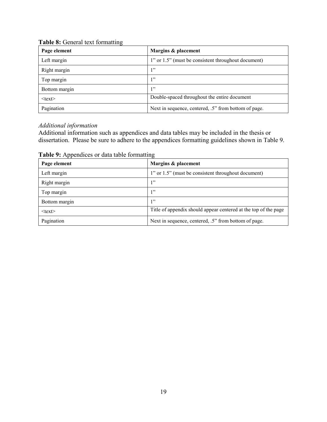|  | Table 8: General text formatting |
|--|----------------------------------|
|--|----------------------------------|

| Page element  | Margins & placement                                  |  |
|---------------|------------------------------------------------------|--|
| Left margin   | 1" or 1.5" (must be consistent throughout document)  |  |
| Right margin  | 1"                                                   |  |
| Top margin    | 1"                                                   |  |
| Bottom margin | 1"                                                   |  |
| $<$ text $>$  | Double-spaced throughout the entire document         |  |
| Pagination    | Next in sequence, centered, .5" from bottom of page. |  |

# *Additional information*

Additional information such as appendices and data tables may be included in the thesis or dissertation. Please be sure to adhere to the appendices formatting guidelines shown in Table 9.

| Page element  | Margins & placement                                             |  |
|---------------|-----------------------------------------------------------------|--|
| Left margin   | 1" or 1.5" (must be consistent throughout document)             |  |
| Right margin  | 1"                                                              |  |
| Top margin    | 1"                                                              |  |
| Bottom margin | 1"                                                              |  |
| $<$ text $>$  | Title of appendix should appear centered at the top of the page |  |
| Pagination    | Next in sequence, centered, .5" from bottom of page.            |  |

**Table 9:** Appendices or data table formatting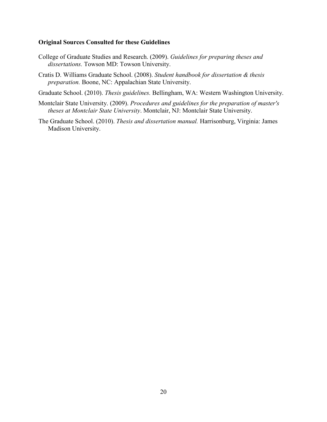#### **Original Sources Consulted for these Guidelines**

- College of Graduate Studies and Research. (2009). *Guidelines for preparing theses and dissertations.* Towson MD: Towson University.
- Cratis D. Williams Graduate School. (2008). *Student handbook for dissertation & thesis preparation.* Boone, NC: Appalachian State University.

Graduate School. (2010). *Thesis guidelines.* Bellingham, WA: Western Washington University.

- Montclair State University. (2009). *Procedures and guidelines for the preparation of master's theses at Montclair State University*. Montclair, NJ: Montclair State University.
- The Graduate School. (2010). *Thesis and dissertation manual.* Harrisonburg, Virginia: James Madison University.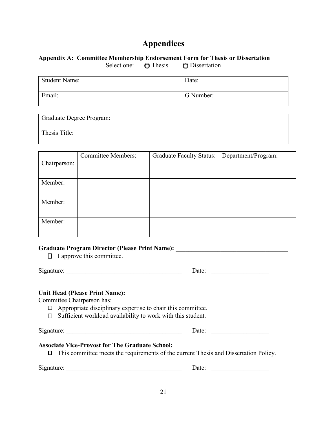# **Appendices**

## <span id="page-20-1"></span><span id="page-20-0"></span>**Appendix A: Committee Membership Endorsement Form for Thesis or Dissertation**

Select one:  $\bigcirc$  Thesis  $\bigcirc$  Dissertation

| <b>Student Name:</b> | Date:     |
|----------------------|-----------|
| Email:               | G Number: |

Graduate Degree Program: Thesis Title:

|              | <b>Committee Members:</b> | <b>Graduate Faculty Status:</b> | Department/Program: |
|--------------|---------------------------|---------------------------------|---------------------|
| Chairperson: |                           |                                 |                     |
|              |                           |                                 |                     |
| Member:      |                           |                                 |                     |
|              |                           |                                 |                     |
| Member:      |                           |                                 |                     |
|              |                           |                                 |                     |
| Member:      |                           |                                 |                     |
|              |                           |                                 |                     |

# Graduate Program Director (Please Print Name): \_\_\_\_\_\_\_\_\_\_\_\_\_\_\_\_\_\_\_\_\_\_\_\_\_\_\_\_\_\_\_\_\_

 $\Box$  I approve this committee.

 $Signature:$ 

| $\cdots$<br>I II |  |
|------------------|--|
|                  |  |

# **Unit Head (Please Print Name):** \_\_\_\_\_\_\_\_\_\_\_\_\_\_\_\_\_\_\_\_\_\_\_\_\_\_\_\_\_\_\_\_\_\_\_\_\_\_\_\_\_\_\_\_\_\_

Committee Chairperson has:

 $\Box$  Appropriate disciplinary expertise to chair this committee.

 $\Box$  Sufficient workload availability to work with this student.

Signature: \_\_\_\_\_\_\_\_\_\_\_\_\_\_\_\_\_\_\_\_\_\_\_\_\_\_\_\_\_\_\_\_\_\_\_\_ Date: \_\_\_\_\_\_\_\_\_\_\_\_\_\_\_\_\_\_

# **Associate Vice-Provost for The Graduate School:**

 $\Box$  This committee meets the requirements of the current Thesis and Dissertation Policy.

Signature: \_\_\_\_\_\_\_\_\_\_\_\_\_\_\_\_\_\_\_\_\_\_\_\_\_\_\_\_\_\_\_\_\_\_\_\_ Date: \_\_\_\_\_\_\_\_\_\_\_\_\_\_\_\_\_\_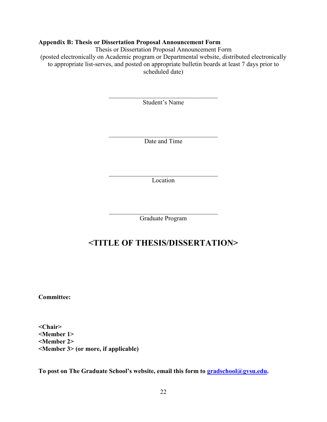#### <span id="page-21-0"></span>**Appendix B: Thesis or Dissertation Proposal Announcement Form**

Thesis or Dissertation Proposal Announcement Form

(posted electronically on Academic program or Departmental website, distributed electronically to appropriate list-serves, and posted on appropriate bulletin boards at least 7 days prior to scheduled date)

> $\overline{\mathcal{L}}$  , which is a set of the set of the set of the set of the set of the set of the set of the set of the set of the set of the set of the set of the set of the set of the set of the set of the set of the set of th Student's Name

> $\overline{\mathcal{L}}$  , which is a set of the set of the set of the set of the set of the set of the set of the set of the set of the set of the set of the set of the set of the set of the set of the set of the set of the set of th Date and Time

> $\overline{\mathcal{L}}$  , which is a set of the set of the set of the set of the set of the set of the set of the set of the set of the set of the set of the set of the set of the set of the set of the set of the set of the set of th Location

> $\mathcal{L}=\mathcal{L}=\mathcal{L}=\mathcal{L}=\mathcal{L}=\mathcal{L}=\mathcal{L}=\mathcal{L}=\mathcal{L}=\mathcal{L}=\mathcal{L}=\mathcal{L}=\mathcal{L}=\mathcal{L}=\mathcal{L}=\mathcal{L}=\mathcal{L}=\mathcal{L}=\mathcal{L}=\mathcal{L}=\mathcal{L}=\mathcal{L}=\mathcal{L}=\mathcal{L}=\mathcal{L}=\mathcal{L}=\mathcal{L}=\mathcal{L}=\mathcal{L}=\mathcal{L}=\mathcal{L}=\mathcal{L}=\mathcal{L}=\mathcal{L}=\mathcal{L}=\mathcal{L}=\mathcal{$ Graduate Program

# **<TITLE OF THESIS/DISSERTATION>**

**Committee:** 

**<Chair> <Member 1> <Member 2> <Member 3> (or more, if applicable)**

**To post on The Graduate School's website, email this form to [gradschool@gvsu.edu.](mailto:gradschool@gvsu.edu)**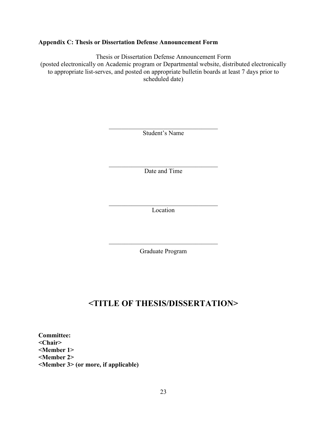## <span id="page-22-0"></span>**Appendix C: Thesis or Dissertation Defense Announcement Form**

Thesis or Dissertation Defense Announcement Form (posted electronically on Academic program or Departmental website, distributed electronically to appropriate list-serves, and posted on appropriate bulletin boards at least 7 days prior to scheduled date)

Student's Name

 $\mathcal{L}_\mathcal{L}$ Date and Time

 $\mathcal{L}_\mathcal{L}$ Location

Graduate Program

# **<TITLE OF THESIS/DISSERTATION>**

**Committee: <Chair> <Member 1> <Member 2> <Member 3> (or more, if applicable)**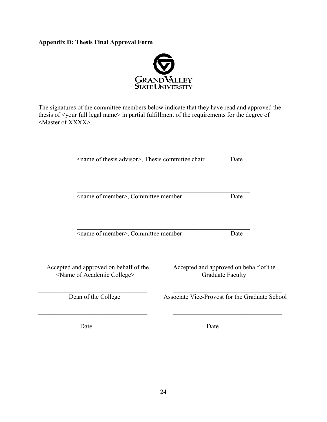# <span id="page-23-0"></span>**Appendix D: Thesis Final Approval Form**



The signatures of the committee members below indicate that they have read and approved the thesis of <your full legal name> in partial fulfillment of the requirements for the degree of <Master of XXXX>.

\_\_\_\_\_\_\_\_\_\_\_\_\_\_\_\_\_\_\_\_\_\_\_\_\_\_\_\_\_\_\_\_\_\_\_\_\_\_\_\_\_\_\_\_\_\_\_\_\_\_\_\_\_\_

| <name advisor="" of="" thesis="">, Thesis committee chair</name> | Date |
|------------------------------------------------------------------|------|
|------------------------------------------------------------------|------|

<name of member>, Committee member Date

<name of member>, Committee member Date

<Name of Academic College>

Accepted and approved on behalf of the<br>
Shame of Academic College>
Craduate Faculty

Accepted and approved on behalf of the
Craduate Faculty

Accepted and approved on behalf of the

Accepted and approved on behalf of the

Dean of the College Associate Vice-Provost for the Graduate School

Date Date

\_\_\_\_\_\_\_\_\_\_\_\_\_\_\_\_\_\_\_\_\_\_\_\_\_\_\_\_\_\_\_\_\_\_\_\_\_\_\_\_\_\_\_\_\_\_\_\_\_\_\_\_\_\_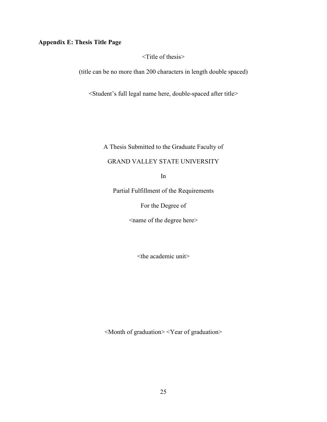# <span id="page-24-0"></span>**Appendix E: Thesis Title Page**

<Title of thesis>

(title can be no more than 200 characters in length double spaced)

<Student's full legal name here, double-spaced after title>

A Thesis Submitted to the Graduate Faculty of

#### GRAND VALLEY STATE UNIVERSITY

In

Partial Fulfillment of the Requirements

For the Degree of

<name of the degree here>

<the academic unit>

<Month of graduation> <Year of graduation>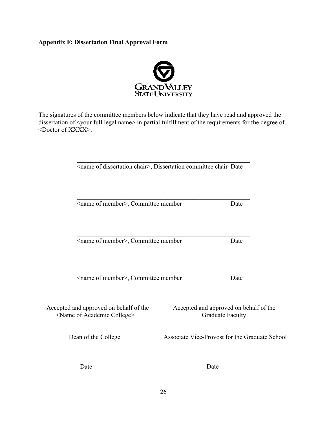# <span id="page-25-0"></span>**Appendix F: Dissertation Final Approval Form**



The signatures of the committee members below indicate that they have read and approved the dissertation of <your full legal name> in partial fulfillment of the requirements for the degree of. <Doctor of XXXX>.

| <name chair="" dissertation="" of="">, Dissertation committee chair Date</name>      |                                                                   |      |
|--------------------------------------------------------------------------------------|-------------------------------------------------------------------|------|
| <name member="" of="">, Committee member</name>                                      |                                                                   | Date |
|                                                                                      |                                                                   |      |
| <name member="" of="">, Committee member</name>                                      |                                                                   | Date |
| <name member="" of="">, Committee member</name>                                      |                                                                   | Date |
| Accepted and approved on behalf of the<br><name academic="" college="" of=""></name> | Accepted and approved on behalf of the<br><b>Graduate Faculty</b> |      |
| Dean of the College                                                                  | Associate Vice-Provost for the Graduate School                    |      |
| Date                                                                                 | Date                                                              |      |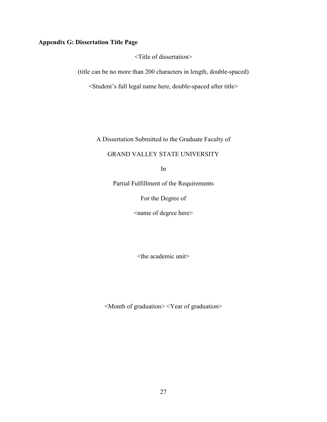# <span id="page-26-0"></span>**Appendix G: Dissertation Title Page**

<Title of dissertation>

(title can be no more than 200 characters in length, double-spaced)

<Student's full legal name here, double-spaced after title>

A Dissertation Submitted to the Graduate Faculty of

## GRAND VALLEY STATE UNIVERSITY

In

Partial Fulfillment of the Requirements

For the Degree of

<name of degree here>

<the academic unit>

<Month of graduation> <Year of graduation>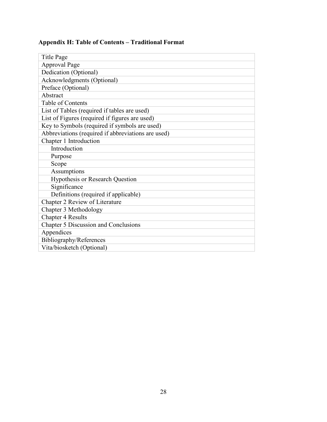<span id="page-27-0"></span>

| <b>Title Page</b>                                  |
|----------------------------------------------------|
| <b>Approval Page</b>                               |
| Dedication (Optional)                              |
| Acknowledgments (Optional)                         |
| Preface (Optional)                                 |
| Abstract                                           |
| Table of Contents                                  |
| List of Tables (required if tables are used)       |
| List of Figures (required if figures are used)     |
| Key to Symbols (required if symbols are used)      |
| Abbreviations (required if abbreviations are used) |
| Chapter 1 Introduction                             |
| Introduction                                       |
| Purpose                                            |
| Scope                                              |
| Assumptions                                        |
| Hypothesis or Research Question                    |
| Significance                                       |
| Definitions (required if applicable)               |
| Chapter 2 Review of Literature                     |
| Chapter 3 Methodology                              |
| <b>Chapter 4 Results</b>                           |
| Chapter 5 Discussion and Conclusions               |
| Appendices                                         |
| Bibliography/References                            |
| Vita/biosketch (Optional)                          |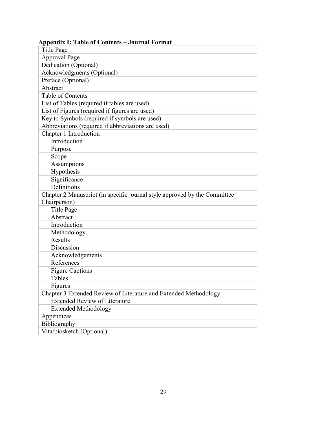| Appenuix 1. Tabié of Contents                                             |
|---------------------------------------------------------------------------|
| <b>Title Page</b>                                                         |
| <b>Approval Page</b>                                                      |
| Dedication (Optional)                                                     |
| Acknowledgments (Optional)                                                |
| Preface (Optional)                                                        |
| Abstract                                                                  |
| Table of Contents                                                         |
| List of Tables (required if tables are used)                              |
| List of Figures (required if figures are used)                            |
| Key to Symbols (required if symbols are used)                             |
| Abbreviations (required if abbreviations are used)                        |
| Chapter 1 Introduction                                                    |
| Introduction                                                              |
| Purpose                                                                   |
| Scope                                                                     |
| Assumptions                                                               |
| Hypothesis                                                                |
| Significance                                                              |
| Definitions                                                               |
| Chapter 2 Manuscript (in specific journal style approved by the Committee |
| Chairperson)                                                              |
| <b>Title Page</b>                                                         |
| Abstract                                                                  |
| Introduction                                                              |
| Methodology                                                               |
| Results                                                                   |
| Discussion                                                                |
| Acknowledgements                                                          |
| References                                                                |
| <b>Figure Captions</b>                                                    |
| Tables                                                                    |
| Figures                                                                   |
| Chapter 3 Extended Review of Literature and Extended Methodology          |
| <b>Extended Review of Literature</b>                                      |
| <b>Extended Methodology</b>                                               |
| Appendices                                                                |
| Bibliography                                                              |
| Vita/biosketch (Optional)                                                 |

# <span id="page-28-0"></span>**Appendix I: Table of Contents – Journal Format**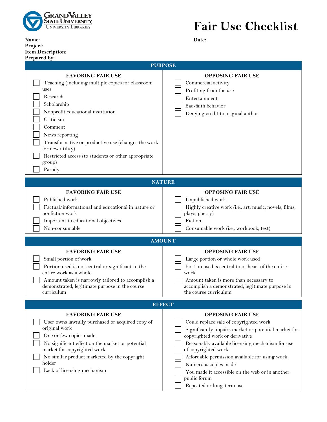

**Project:** 

**Name: Date:** 

| <b>Item Description:</b><br>Prepared by:                                                                                                                                                                                                                                                                                                             |                                                                                                                                                                                                                                                                                                                                                                                                                   |  |
|------------------------------------------------------------------------------------------------------------------------------------------------------------------------------------------------------------------------------------------------------------------------------------------------------------------------------------------------------|-------------------------------------------------------------------------------------------------------------------------------------------------------------------------------------------------------------------------------------------------------------------------------------------------------------------------------------------------------------------------------------------------------------------|--|
| <b>PURPOSE</b>                                                                                                                                                                                                                                                                                                                                       |                                                                                                                                                                                                                                                                                                                                                                                                                   |  |
| <b>FAVORING FAIR USE</b><br>Teaching (including multiple copies for classroom<br>use)<br>Research<br>Scholarship<br>Nonprofit educational institution<br>Criticism<br>Comment<br>News reporting<br>Transformative or productive use (changes the work<br>for new utility)<br>Restricted access (to students or other appropriate<br>group)<br>Parody | <b>OPPOSING FAIR USE</b><br>Commercial activity<br>Profiting from the use<br>Entertainment<br>Bad-faith behavior<br>Denying credit to original author                                                                                                                                                                                                                                                             |  |
| <b>NATURE</b>                                                                                                                                                                                                                                                                                                                                        |                                                                                                                                                                                                                                                                                                                                                                                                                   |  |
| <b>FAVORING FAIR USE</b><br>Published work<br>Factual/informational and educational in nature or<br>nonfiction work<br>Important to educational objectives<br>Non-consumable                                                                                                                                                                         | <b>OPPOSING FAIR USE</b><br>Unpublished work<br>Highly creative work (i.e., art, music, novels, films,<br>plays, poetry)<br>Fiction<br>Consumable work (i.e., workbook, test)                                                                                                                                                                                                                                     |  |
| <b>AMOUNT</b>                                                                                                                                                                                                                                                                                                                                        |                                                                                                                                                                                                                                                                                                                                                                                                                   |  |
| <b>FAVORING FAIR USE</b><br>Small portion of work<br>Portion used is not central or significant to the<br>entire work as a whole<br>Amount taken is narrowly tailored to accomplish a<br>demonstrated, legitimate purpose in the course<br>curriculum                                                                                                | <b>OPPOSING FAIR USE</b><br>Large portion or whole work used<br>Portion used is central to or heart of the entire<br>work<br>Amount taken is more than necessary to<br>accomplish a demonstrated, legitimate purpose in<br>the course curriculum                                                                                                                                                                  |  |
| <b>EFFECT</b>                                                                                                                                                                                                                                                                                                                                        |                                                                                                                                                                                                                                                                                                                                                                                                                   |  |
| <b>FAVORING FAIR USE</b><br>User owns lawfully purchased or acquired copy of<br>original work<br>One or few copies made<br>No significant effect on the market or potential<br>market for copyrighted work<br>No similar product marketed by the copyright<br>holder<br>Lack of licensing mechanism                                                  | <b>OPPOSING FAIR USE</b><br>Could replace sale of copyrighted work<br>Significantly impairs market or potential market for<br>copyrighted work or derivative<br>Reasonably available licensing mechanism for use<br>of copyrighted work<br>Affordable permission available for using work<br>Numerous copies made<br>You made it accessible on the web or in another<br>public forum<br>Repeated or long-term use |  |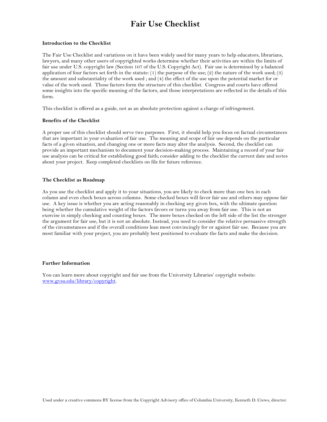# **Fair Use Checklist**

#### **Introduction to the Checklist**

The Fair Use Checklist and variations on it have been widely used for many years to help educators, librarians, lawyers, and many other users of copyrighted works determine whether their activities are within the limits of fair use under U.S. copyright law (Section 107 of the U.S. Copyright Act). Fair use is determined by a balanced application of four factors set forth in the statute:  $(1)$  the purpose of the use;  $(2)$  the nature of the work used;  $(3)$ the amount and substantiality of the work used ; and (4) the effect of the use upon the potential market for or value of the work used. Those factors form the structure of this checklist. Congress and courts have offered some insights into the specific meaning of the factors, and those interpretations are reflected in the details of this form.

This checklist is offered as a guide, not as an absolute protection against a charge of infringement.

#### **Benefits of the Checklist**

A proper use of this checklist should serve two purposes. First, it should help you focus on factual circumstances that are important in your evaluation of fair use. The meaning and scope of fair use depends on the particular facts of a given situation, and changing one or more facts may alter the analysis. Second, the checklist can provide an important mechanism to document your decision-making process. Maintaining a record of your fair use analysis can be critical for establishing good faith; consider adding to the checklist the current date and notes about your project. Keep completed checklists on file for future reference.

#### **The Checklist as Roadmap**

As you use the checklist and apply it to your situations, you are likely to check more than one box in each column and even check boxes across columns. Some checked boxes will favor fair use and others may oppose fair use. A key issue is whether you are acting reasonably in checking any given box, with the ultimate question being whether the cumulative weight of the factors favors or turns you away from fair use. This is not an exercise in simply checking and counting boxes. The more boxes checked on the left side of the list the stronger the argument for fair use, but it is not an absolute. Instead, you need to consider the relative persuasive strength of the circumstances and if the overall conditions lean most convincingly for or against fair use. Because you are most familiar with your project, you are probably best positioned to evaluate the facts and make the decision.

#### **Further Information**

You can learn more about copyright and fair use from the University Libraries' copyright website: [www.gvsu.edu/library/copyright.](http://www.gvsu.edu/library/copyright)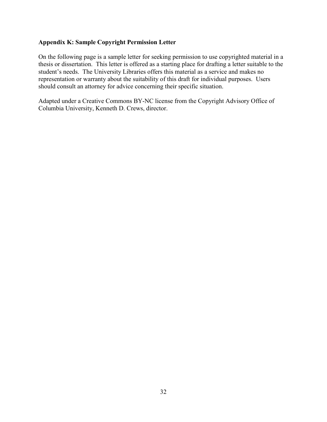# <span id="page-31-0"></span>**Appendix K: Sample Copyright Permission Letter**

On the following page is a sample letter for seeking permission to use copyrighted material in a thesis or dissertation. This letter is offered as a starting place for drafting a letter suitable to the student's needs. The University Libraries offers this material as a service and makes no representation or warranty about the suitability of this draft for individual purposes. Users should consult an attorney for advice concerning their specific situation.

Adapted under a Creative Commons BY-NC license from the Copyright Advisory Office of Columbia University, Kenneth D. Crews, director.